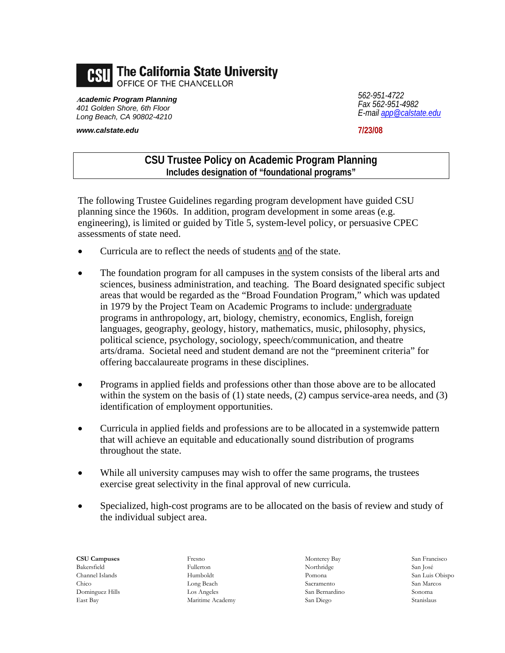

**<sup>A</sup>***cademic Program Planning 401 Golden Shore, 6th Floor Long Beach, CA 90802-4210* 

*www.calstate.edu*

*562-951-4722 Fax 562-951-4982 E-mail app@calstate.edu*

**7/23/08**

## **CSU Trustee Policy on Academic Program Planning Includes designation of "foundational programs"**

The following Trustee Guidelines regarding program development have guided CSU planning since the 1960s. In addition, program development in some areas (e.g. engineering), is limited or guided by Title 5, system-level policy, or persuasive CPEC assessments of state need.

- Curricula are to reflect the needs of students and of the state.
- The foundation program for all campuses in the system consists of the liberal arts and sciences, business administration, and teaching. The Board designated specific subject areas that would be regarded as the "Broad Foundation Program," which was updated in 1979 by the Project Team on Academic Programs to include: undergraduate programs in anthropology, art, biology, chemistry, economics, English, foreign languages, geography, geology, history, mathematics, music, philosophy, physics, political science, psychology, sociology, speech/communication, and theatre arts/drama. Societal need and student demand are not the "preeminent criteria" for offering baccalaureate programs in these disciplines.
- Programs in applied fields and professions other than those above are to be allocated within the system on the basis of (1) state needs, (2) campus service-area needs, and (3) identification of employment opportunities.
- Curricula in applied fields and professions are to be allocated in a systemwide pattern that will achieve an equitable and educationally sound distribution of programs throughout the state.
- While all university campuses may wish to offer the same programs, the trustees exercise great selectivity in the final approval of new curricula.
- Specialized, high-cost programs are to be allocated on the basis of review and study of the individual subject area.

**CSU Campuses**  Bakersfield Channel Islands Chico Dominguez Hills East Bay Maritime Academy San Diego Stanislaus

Fresno Fullerton Humboldt Long Beach Los Angeles Monterey Bay Northridge Pomona Sacramento San Bernardino

San Francisco San José San Luis Obispo San Marcos Sonoma